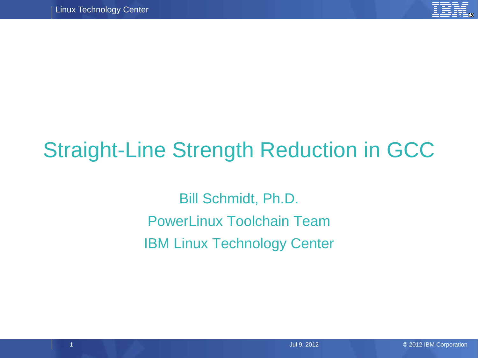

# Straight-Line Strength Reduction in GCC

Bill Schmidt, Ph.D. PowerLinux Toolchain Team IBM Linux Technology Center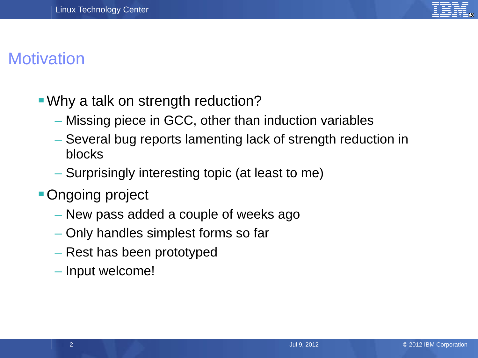

### **Motivation**

- Why a talk on strength reduction?
	- Missing piece in GCC, other than induction variables
	- Several bug reports lamenting lack of strength reduction in blocks
	- Surprisingly interesting topic (at least to me)
- **Ongoing project** 
	- New pass added a couple of weeks ago
	- Only handles simplest forms so far
	- Rest has been prototyped
	- Input welcome!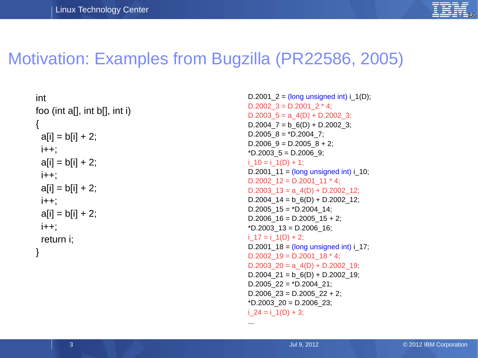

### Motivation: Examples from Bugzilla (PR22586, 2005)

```
int
foo (int a[], int b[], int i)
\{a[i] = b[i] + 2;(+ +)a[i] = b[i] + 2;i++;
 a[i] = b[i] + 2;j++;
 a[i] = b[i] + 2;j++;
  return i;
}
```

```
D.2001 2 = (long unsigned int) i_1(D);
D.2002 3 = D.2001 2 * 4;
D.2003 5 = a_4(D) + D.2002 3;
D.2004 7 = b 6(D) + D.2002 3;
D.2005 8 = *D.2004 7;
D.2006 9 = D.2005 8 + 2;
*D.2003 5 = D.2006 9;
i 10 = i_1(1D) + 1;
D.2001 11 = (long unsigned int) i 10;
D.2002 12 = D.2001 11 * 4;
D.2003 13 = a_4(D) + D.2002 12;
D.2004 14 = b_6(D) + D.2002 12;
D.2005 15 = *D.2004 14;
D.2006 16 = D.2005 15 + 2;
 *D.2003_13 = D.2006_16;
i 17 = i_1(0) + 2;
D.2001 18 = (long unsigned int) i_17;
D.2002 19 = D.2001 18 * 4;
D.2003 20 = a_4(D) + D.2002 19;
D.2004 21 = b_6(D) + D.2002 19;
D.2005 22 = *D.2004 21;
D.2006 23 = D.2005 22 + 2;
*D.2003 20 = D.2006 23;
i 24 = i_1(1D) + 3;
```
...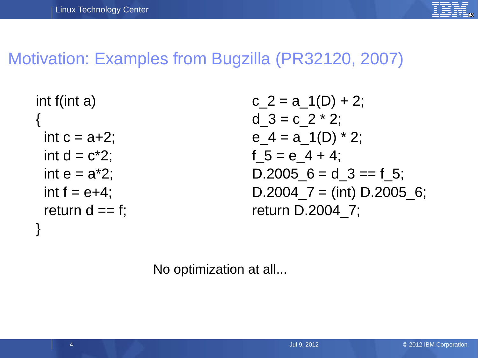

### Motivation: Examples from Bugzilla (PR32120, 2007)

```
int f(int a)
{
 int c = a+2;
 int d = c*2;
 int e = a^*2;
 int f = e+4;
 return d == f;
}
```
 $c_2 = a_1(D) + 2;$ d  $3 = c \; 2 * 2$ ; e  $4 = a(1D) * 2;$ f  $5 = e$  4 + 4; D.2005  $6 = d_3 == f_5$ ; D.2004  $7 = (int)$  D.2005 6; return D.2004\_7;

No optimization at all...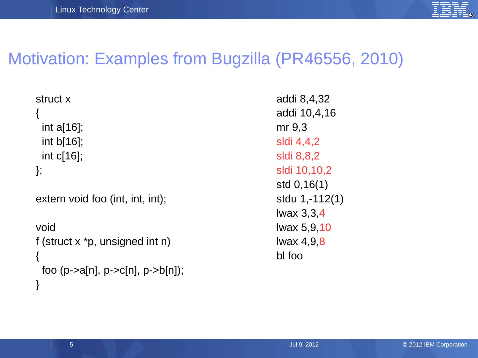

### Motivation: Examples from Bugzilla (PR46556, 2010)

struct x { int a[16]; int b[16]; int c[16]; };

```
extern void foo (int, int, int);
```

```
void
f (struct x *p, unsigned int n)
\{foo (p->a[n], p->c[n], p->b[n]);
}
```
addi 8,4,32 addi 10,4,16 mr 9,3 sldi 4,4,2 sldi 8,8,2 sldi 10,10,2 std 0,16(1) stdu 1,-112(1) lwax 3,3,4 lwax 5,9,10 lwax 4,9,8 bl foo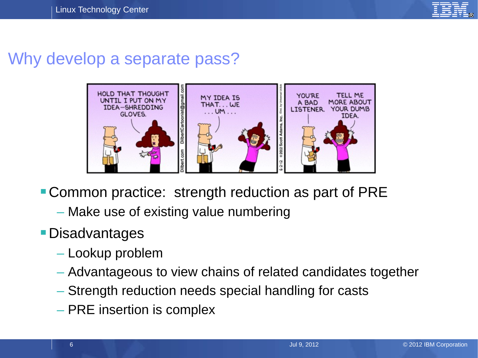

#### Why develop a separate pass?



- **Common practice: strength reduction as part of PRE** 
	- Make use of existing value numbering
- Disadvantages
	- Lookup problem
	- Advantageous to view chains of related candidates together
	- Strength reduction needs special handling for casts
	- PRE insertion is complex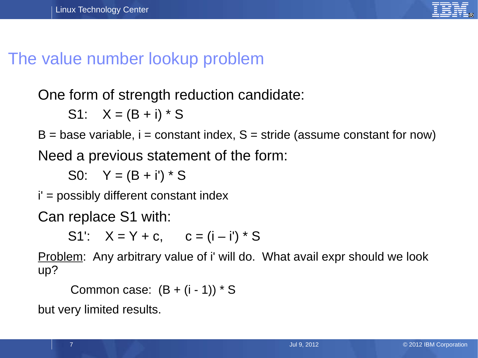

### The value number lookup problem

One form of strength reduction candidate:

S1:  $X = (B + i) * S$ 

 $B = base$  variable,  $i = constant$  index,  $S = stride$  (assume constant for now)

Need a previous statement of the form:

S0:  $Y = (B + i') * S$ 

i' = possibly different constant index

Can replace S1 with:

S1':  $X = Y + c$ ,  $c = (i - i') * S$ 

Problem: Any arbitrary value of i' will do. What avail expr should we look up?

Common case:  $(B + (i - 1)) * S$ 

but very limited results.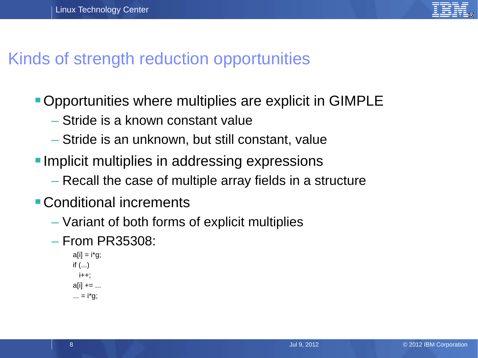

### Kinds of strength reduction opportunities

- Opportunities where multiplies are explicit in GIMPLE
	- Stride is a known constant value
	- Stride is an unknown, but still constant, value
- **Implicit multiplies in addressing expressions** 
	- Recall the case of multiple array fields in a structure
- Conditional increments
	- Variant of both forms of explicit multiplies
	- From PR35308:

```
a[i] = i*g;if (...)i++;
a[i] += ...... = i*q;
```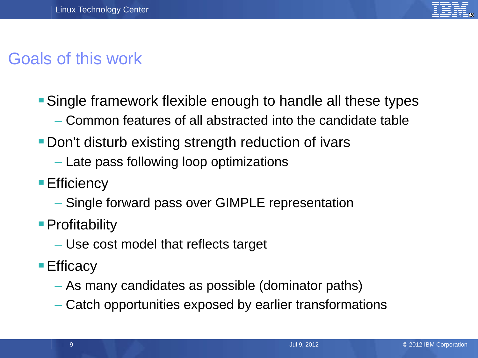

# Goals of this work

- Single framework flexible enough to handle all these types
	- Common features of all abstracted into the candidate table
- **Don't disturb existing strength reduction of ivars** 
	- Late pass following loop optimizations
- **Efficiency** 
	- Single forward pass over GIMPLE representation
- **Profitability** 
	- Use cost model that reflects target
- Efficacy
	- As many candidates as possible (dominator paths)
	- Catch opportunities exposed by earlier transformations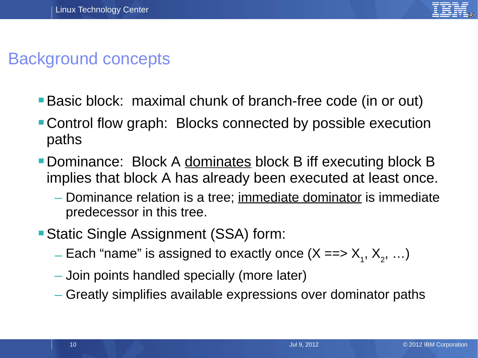

### Background concepts

- Basic block: maximal chunk of branch-free code (in or out)
- Control flow graph: Blocks connected by possible execution paths
- **Dominance: Block A dominates block B iff executing block B** implies that block A has already been executed at least once.
	- Dominance relation is a tree; immediate dominator is immediate predecessor in this tree.
- Static Single Assignment (SSA) form:
	- $\equiv$  Each "name" is assigned to exactly once (X ==>  $\mathsf{X}_{_{1}},$   $\mathsf{X}_{_{2}},$   $\ldots$ )
	- Join points handled specially (more later)
	- Greatly simplifies available expressions over dominator paths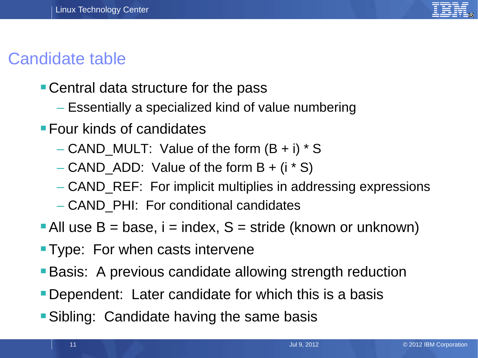

### Candidate table

- Central data structure for the pass
	- Essentially a specialized kind of value numbering
- **Four kinds of candidates** 
	- CAND MULT: Value of the form  $(B + i) * S$
	- CAND ADD: Value of the form  $B + (i * S)$
	- CAND\_REF: For implicit multiplies in addressing expressions
	- CAND\_PHI: For conditional candidates
- All use  $B = base$ ,  $i = index$ ,  $S = stride$  (known or unknown)
- **Type: For when casts intervene**
- **Basis:** A previous candidate allowing strength reduction
- Dependent: Later candidate for which this is a basis
- **Sibling: Candidate having the same basis**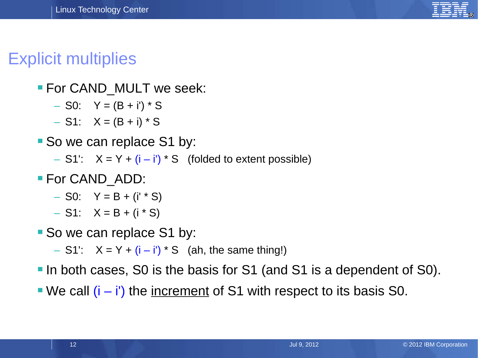

### Explicit multiplies

#### **For CAND MULT we seek:**

- $-$  S0: Y = (B + i') \* S
- $S1: X = (B + i) * S$
- So we can replace S1 by:
	- S1':  $X = Y + (i i') * S$  (folded to extent possible)
- **For CAND ADD:** 
	- $-$  S0: Y = B + (i' \* S)
	- $S1: X = B + (i * S)$
- So we can replace S1 by:
	- $-$  S1':  $X = Y + (i i') * S$  (ah, the same thing!)
- In both cases, S0 is the basis for S1 (and S1 is a dependent of S0).
- We call  $(i i')$  the increment of S1 with respect to its basis S0.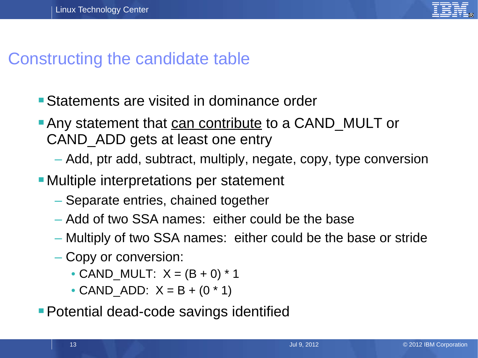

#### Constructing the candidate table

- Statements are visited in dominance order
- Any statement that can contribute to a CAND MULT or CAND\_ADD gets at least one entry
	- Add, ptr add, subtract, multiply, negate, copy, type conversion
- Multiple interpretations per statement
	- Separate entries, chained together
	- Add of two SSA names: either could be the base
	- Multiply of two SSA names: either could be the base or stride
	- Copy or conversion:
		- CAND MULT:  $X = (B + 0) * 1$
		- CAND ADD:  $X = B + (0 * 1)$
- **Potential dead-code savings identified**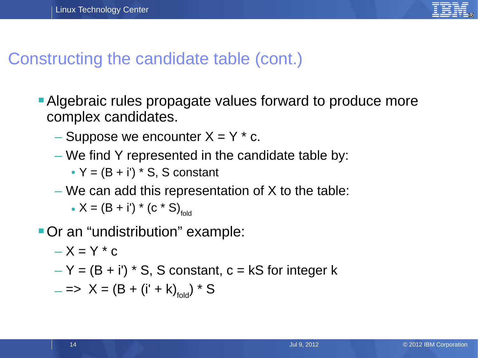

#### Constructing the candidate table (cont.)

- Algebraic rules propagate values forward to produce more complex candidates.
	- Suppose we encounter  $X = Y * c$ .
	- We find Y represented in the candidate table by:
		- $Y = (B + i') * S$ , S constant
	- We can add this representation of  $X$  to the table:
		- $X = (B + i') * (c * S)_{fold}$

Or an "undistribution" example:

$$
-X = Y * c
$$

 $-Y = (B + i') * S$ , S constant,  $c = kS$  for integer k

$$
- \implies X = (B + (i' + k)_{\text{fold}}) * S
$$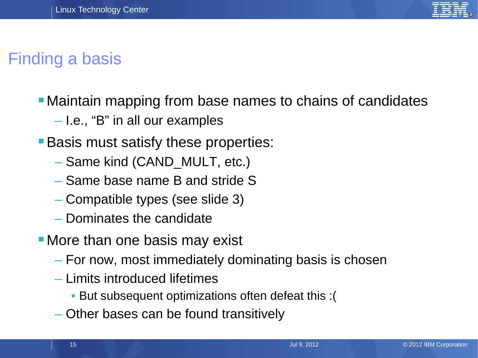

# Finding a basis

- Maintain mapping from base names to chains of candidates
	- I.e., "B" in all our examples
- **Basis must satisfy these properties:** 
	- Same kind (CAND\_MULT, etc.)
	- Same base name B and stride S
	- Compatible types (see slide 3)
	- Dominates the candidate
- **More than one basis may exist** 
	- For now, most immediately dominating basis is chosen
	- Limits introduced lifetimes
		- But subsequent optimizations often defeat this :(
	- Other bases can be found transitively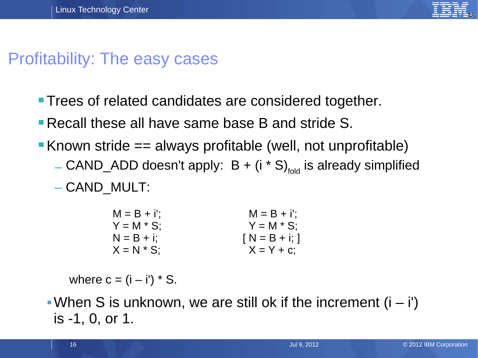

### Profitability: The easy cases

- **Trees of related candidates are considered together.**
- Recall these all have same base B and stride S.
- Known stride  $==$  always profitable (well, not unprofitable)
	- $-CAND$ <sub>\_</sub>ADD doesn't apply:  $B + (i * S)_{fold}$  is already simplified
	- CAND\_MULT:

| $M = B + i$ ; | $M = B + i$ ; |
|---------------|---------------|
| $Y = M * S$ ; | $Y = M * S$ ; |
| $N = B + i$ ; | $N = B + i$ ; |
| $X = N * S$   | $X = Y + C$ ; |

where  $c = (i - i') * S$ .

When S is unknown, we are still ok if the increment  $(i - i')$ is -1, 0, or 1.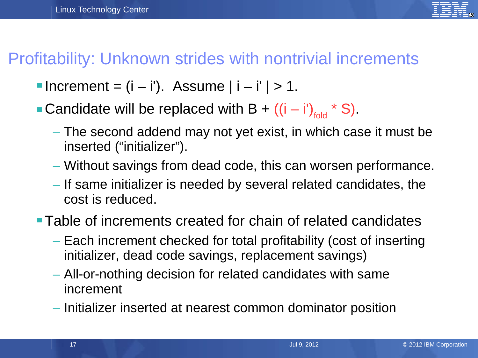

### Profitability: Unknown strides with nontrivial increments

- Increment =  $(i i')$ . Assume  $|i i'| > 1$ .
- Candidate will be replaced with B +  $((i i')<sub>fold</sub> * S)$ .
	- The second addend may not yet exist, in which case it must be inserted ("initializer").
	- Without savings from dead code, this can worsen performance.
	- If same initializer is needed by several related candidates, the cost is reduced.
- Table of increments created for chain of related candidates
	- Each increment checked for total profitability (cost of inserting initializer, dead code savings, replacement savings)
	- All-or-nothing decision for related candidates with same increment
	- Initializer inserted at nearest common dominator position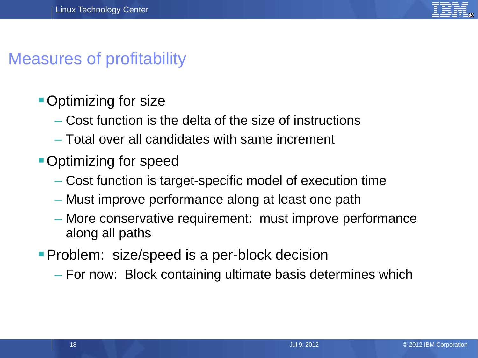

### Measures of profitability

- **Optimizing for size** 
	- Cost function is the delta of the size of instructions
	- Total over all candidates with same increment
- **Optimizing for speed** 
	- Cost function is target-specific model of execution time
	- Must improve performance along at least one path
	- More conservative requirement: must improve performance along all paths
- **Problem:** size/speed is a per-block decision
	- For now: Block containing ultimate basis determines which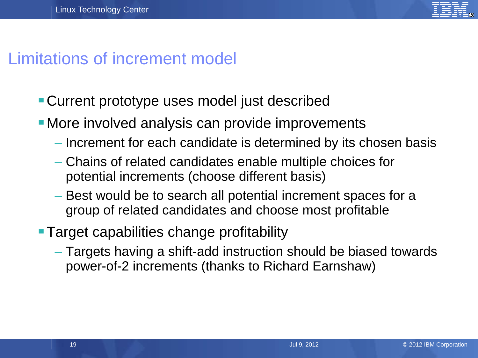

### Limitations of increment model

- Current prototype uses model just described
- **More involved analysis can provide improvements** 
	- Increment for each candidate is determined by its chosen basis
	- Chains of related candidates enable multiple choices for potential increments (choose different basis)
	- Best would be to search all potential increment spaces for a group of related candidates and choose most profitable
- **Target capabilities change profitability** 
	- Targets having a shift-add instruction should be biased towards power-of-2 increments (thanks to Richard Earnshaw)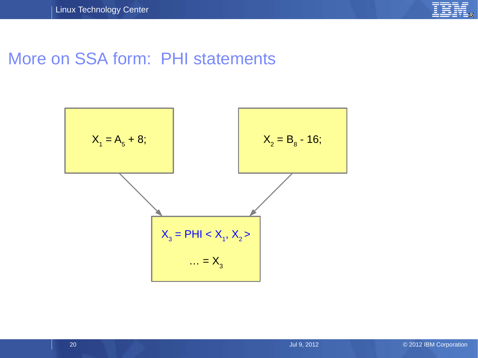

#### More on SSA form: PHI statements

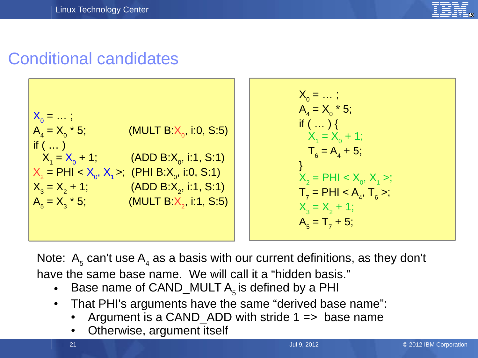

### Conditional candidates



Note:  $A_5$  can't use  $A_4$  as a basis with our current definitions, as they don't have the same base name. We will call it a "hidden basis."

- Base name of CAND\_MULT  $A_5$  is defined by a PHI
- That PHI's arguments have the same "derived base name":
	- Argument is a CAND\_ADD with stride  $1 \Rightarrow$  base name
	- Otherwise, argument itself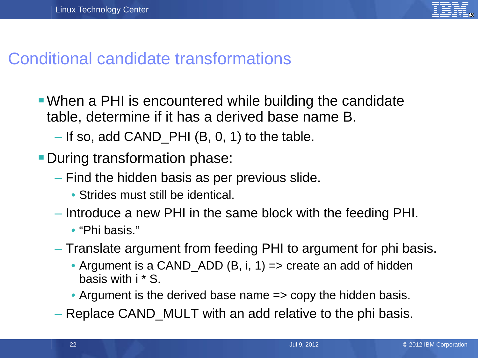

#### Conditional candidate transformations

- When a PHI is encountered while building the candidate table, determine if it has a derived base name B.
	- $-$  If so, add CAND PHI (B, 0, 1) to the table.
- **During transformation phase:** 
	- Find the hidden basis as per previous slide.
		- Strides must still be identical.
	- Introduce a new PHI in the same block with the feeding PHI.
		- "Phi basis."
	- Translate argument from feeding PHI to argument for phi basis.
		- Argument is a CAND\_ADD  $(B, i, 1)$  => create an add of hidden basis with i \* S.
		- Argument is the derived base name => copy the hidden basis.
	- Replace CAND\_MULT with an add relative to the phi basis.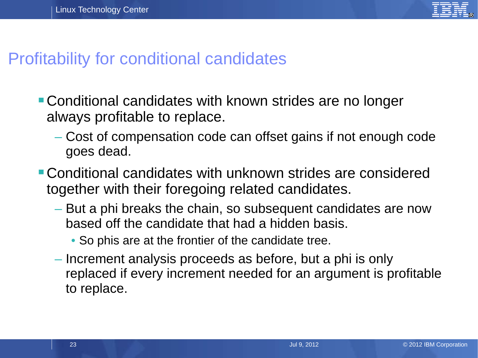

#### Profitability for conditional candidates

- Conditional candidates with known strides are no longer always profitable to replace.
	- Cost of compensation code can offset gains if not enough code goes dead.
- Conditional candidates with unknown strides are considered together with their foregoing related candidates.
	- But a phi breaks the chain, so subsequent candidates are now based off the candidate that had a hidden basis.
		- So phis are at the frontier of the candidate tree.
	- Increment analysis proceeds as before, but a phi is only replaced if every increment needed for an argument is profitable to replace.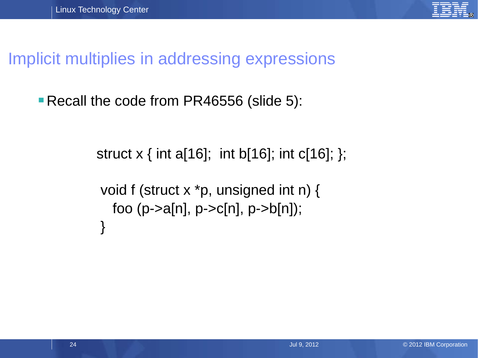

Implicit multiplies in addressing expressions

**Recall the code from PR46556 (slide 5):** 

struct  $x \{$  int a[16]; int b[16]; int c[16]; }; void f (struct x \*p, unsigned int n) { foo (p->a[n], p->c[n], p->b[n]); }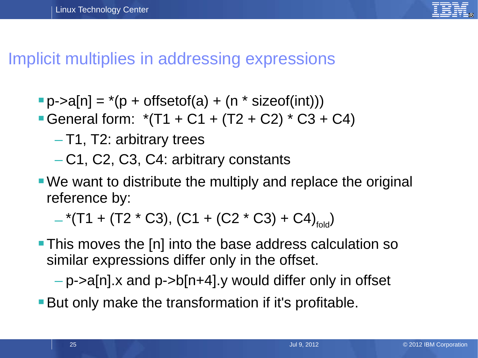

#### Implicit multiplies in addressing expressions

- $\blacksquare$  p->a[n] = \*(p + offsetof(a) + (n \* sizeof(int)))
- General form:  $*(T1 + C1 + (T2 + C2) * C3 + C4)$ 
	- T1, T2: arbitrary trees
	- C1, C2, C3, C4: arbitrary constants
- We want to distribute the multiply and replace the original reference by:

 $-$ \*(T1 + (T2 \* C3), (C1 + (C2 \* C3) + C4)<sub>fold</sub>)

**This moves the [n] into the base address calculation so** similar expressions differ only in the offset.

 $-p$ ->a[n].x and p->b[n+4].y would differ only in offset

**But only make the transformation if it's profitable.**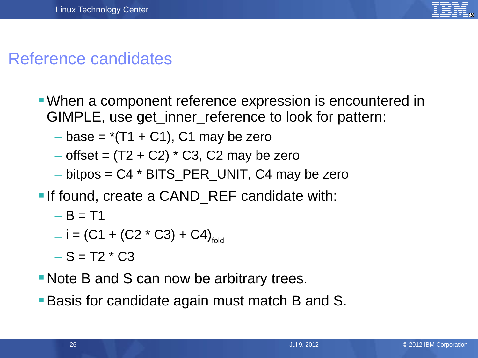

### Reference candidates

- When a component reference expression is encountered in GIMPLE, use get inner reference to look for pattern:
	- $-$  base =  $*(T1 + C1)$ , C1 may be zero
	- $-$  offset =  $(T2 + C2) * C3$ , C2 may be zero
	- $-$  bitpos = C4  $*$  BITS PER UNIT, C4 may be zero
- **If found, create a CAND REF candidate with:** 
	- $B = T1$
	- $i = (C1 + (C2 \times C3) + C4)_{fold}$
	- $-S = T2 * C3$
- Note B and S can now be arbitrary trees.
- **Basis for candidate again must match B and S.**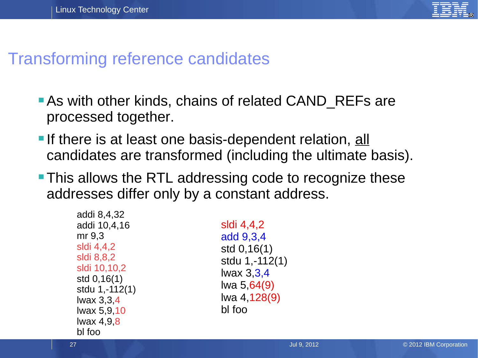

#### Transforming reference candidates

- **As with other kinds, chains of related CAND REFs are** processed together.
- If there is at least one basis-dependent relation, all candidates are transformed (including the ultimate basis).
- **This allows the RTL addressing code to recognize these** addresses differ only by a constant address.

| addi 8,4,32    |
|----------------|
| addi 10,4,16   |
| mr 9.3         |
| sldi 4,4,2     |
| sldi 8,8,2     |
| sldi 10,10,2   |
| std 0,16(1)    |
| stdu 1,-112(1) |
| lwax 3,3,4     |
| lwax 5,9,10    |
| lwax 4,9,8     |
| bl foo         |

sldi 4,4,2 add 9,3,4 std 0,16(1) stdu 1,-112(1) lwax 3,3,4 lwa 5,64(9) lwa 4,128(9) bl foo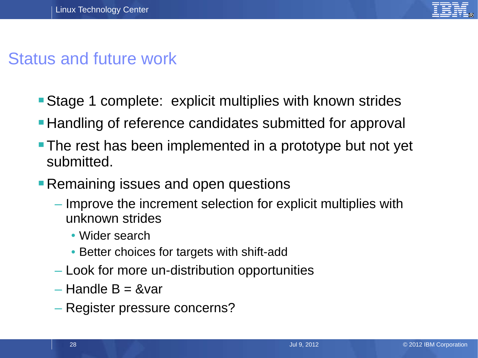

### Status and future work

- **Stage 1 complete: explicit multiplies with known strides**
- **Handling of reference candidates submitted for approval**
- **The rest has been implemented in a prototype but not yet** submitted.
- **Remaining issues and open questions** 
	- Improve the increment selection for explicit multiplies with unknown strides
		- Wider search
		- Better choices for targets with shift-add
	- Look for more un-distribution opportunities
	- $-$  Handle B = &var
	- Register pressure concerns?